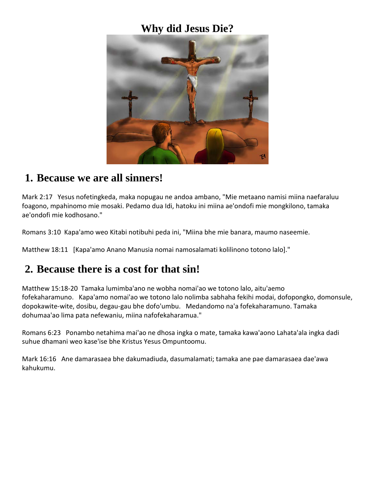### **Why did Jesus Die?**



### **1. Because we are all sinners!**

Mark 2:17 Yesus nofetingkeda, maka nopugau ne andoa ambano, "Mie metaano namisi miina naefaraluu foagono, mpahinomo mie mosaki. Pedamo dua Idi, hatoku ini miina ae'ondofi mie mongkilono, tamaka ae'ondofi mie kodhosano."

Romans 3:10 Kapa'amo weo Kitabi notibuhi peda ini, "Miina bhe mie banara, maumo naseemie.

Matthew 18:11 [Kapa'amo Anano Manusia nomai namosalamati kolilinono totono lalo]."

### **2. Because there is a cost for that sin!**

Matthew 15:18-20 Tamaka lumimba'ano ne wobha nomai'ao we totono lalo, aitu'aemo fofekaharamuno. Kapa'amo nomai'ao we totono lalo nolimba sabhaha fekihi modai, dofopongko, domonsule, dopokawite-wite, dosibu, degau-gau bhe dofo'umbu. Medandomo na'a fofekaharamuno. Tamaka dohumaa'ao lima pata nefewaniu, miina nafofekaharamua."

Romans 6:23 Ponambo netahima mai'ao ne dhosa ingka o mate, tamaka kawa'aono Lahata'ala ingka dadi suhue dhamani weo kase'ise bhe Kristus Yesus Ompuntoomu.

Mark 16:16 Ane damarasaea bhe dakumadiuda, dasumalamati; tamaka ane pae damarasaea dae'awa kahukumu.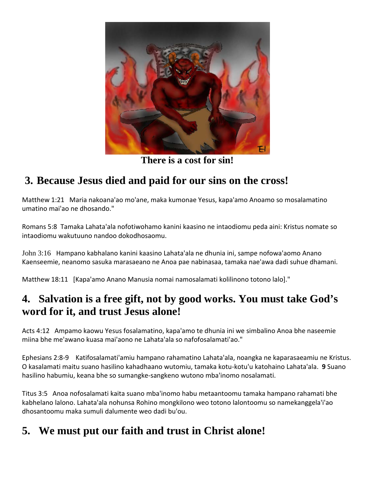

**There is a cost for sin!**

# **3. Because Jesus died and paid for our sins on the cross!**

Matthew 1:21 Maria nakoana'ao mo'ane, maka kumonae Yesus, kapa'amo Anoamo so mosalamatino umatino mai'ao ne dhosando."

Romans 5:8 Tamaka Lahata'ala nofotiwohamo kanini kaasino ne intaodiomu peda aini: Kristus nomate so intaodiomu wakutuuno nandoo dokodhosaomu.

John 3:16 Hampano kabhalano kanini kaasino Lahata'ala ne dhunia ini, sampe nofowa'aomo Anano Kaenseemie, neanomo sasuka marasaeano ne Anoa pae nabinasaa, tamaka nae'awa dadi suhue dhamani.

Matthew 18:11 [Kapa'amo Anano Manusia nomai namosalamati kolilinono totono lalo]."

## **4. Salvation is a free gift, not by good works. You must take God's word for it, and trust Jesus alone!**

Acts 4:12 Ampamo kaowu Yesus fosalamatino, kapa'amo te dhunia ini we simbalino Anoa bhe naseemie miina bhe me'awano kuasa mai'aono ne Lahata'ala so nafofosalamati'ao."

Ephesians 2:8-9 Katifosalamati'amiu hampano rahamatino Lahata'ala, noangka ne kaparasaeamiu ne Kristus. O kasalamati maitu suano hasilino kahadhaano wutomiu, tamaka kotu-kotu'u katohaino Lahata'ala. **9** Suano hasilino habumiu, keana bhe so sumangke-sangkeno wutono mba'inomo nosalamati.

Titus 3:5 Anoa nofosalamati kaita suano mba'inomo habu metaantoomu tamaka hampano rahamati bhe kabhelano lalono. Lahata'ala nohunsa Rohino mongkilono weo totono lalontoomu so namekanggela'i'ao dhosantoomu maka sumuli dalumente weo dadi bu'ou.

## **5. We must put our faith and trust in Christ alone!**